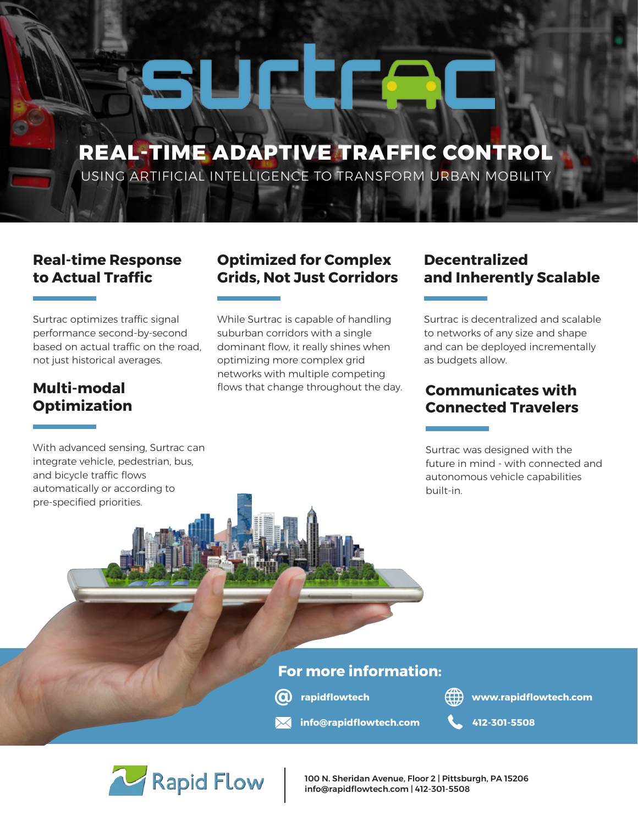## **REAL-TIME ADAPTIVE TRAFFIC CONTROL**

USING ARTIFICIAL INTELLIGENCE TO TRANSFORM URBAN MOBILITY

#### **Real-time Response to Actual Traffic**

Surtrac optimizes traffic signal performance second-by-second based on actual traffic on the road, not just historical averages.

# **Optimization**

With advanced sensing, Surtrac can integrate vehicle, pedestrian, bus, and bicycle traffic flows automatically or according to pre-specified priorities.

#### **Optimized for Complex Grids, Not Just Corridors**

While Surtrac is capable of handling suburban corridors with a single dominant flow, it really shines when optimizing more complex grid networks with multiple competing **Multi-modal** flows that change throughout the day.

### **Decentralized and Inherently Scalable**

Surtrac is decentralized and scalable to networks of any size and shape and can be deployed incrementally as budgets allow.

#### **Communicates with Connected Travelers**

Surtrac was designed with the future in mind - with connected and autonomous vehicle capabilities built-in.

#### **For more information:**





**@ rapidflowtech www.rapidflowtech.com**

**info@rapidflowtech.com 412-301-5508** 





100 N. Sheridan Avenue, Floor 2 | Pittsburgh, PA 15206 info@rapidflowtech.com | 412-301-5508